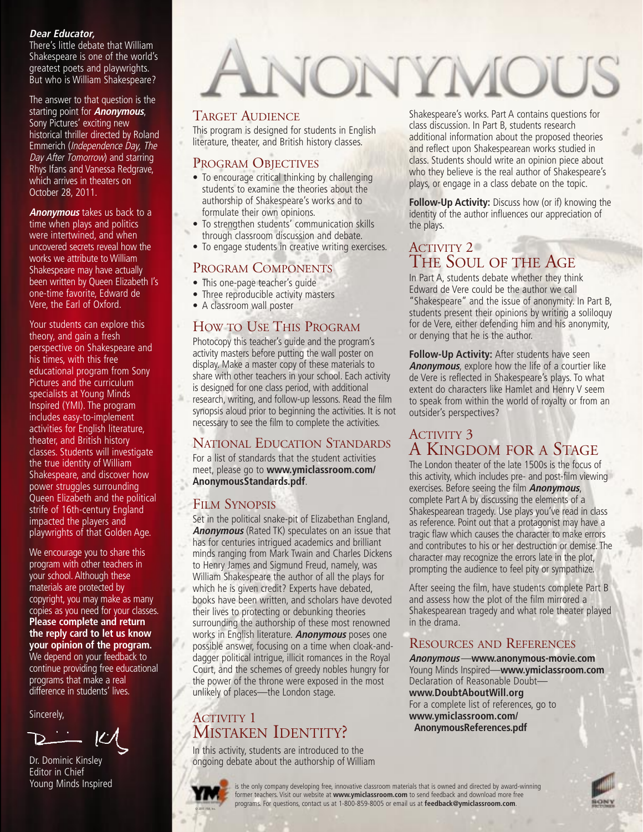#### **Dear Educator,**

There's little debate that William Shakespeare is one of the world's greatest poets and playwrights. But who is William Shakespeare?

The answer to that question is the starting point for **Anonymous**, Sony Pictures' exciting new historical thriller directed by Roland Emmerich (Independence Day, The Day After Tomorrow) and starring Rhys Ifans and Vanessa Redgrave, which arrives in theaters on October 28, 2011.

**Anonymous** takes us back to a time when plays and politics were intertwined, and when uncovered secrets reveal how the works we attribute to William Shakespeare may have actually been written by Queen Elizabeth I's one-time favorite, Edward de Vere, the Earl of Oxford.

Your students can explore this theory, and gain a fresh perspective on Shakespeare and his times, with this free educational program from Sony Pictures and the curriculum specialists at Young Minds Inspired (YMI). The program includes easy-to-implement activities for English literature, theater, and British history classes. Students will investigate the true identity of William Shakespeare, and discover how power struggles surrounding Queen Elizabeth and the political strife of 16th-century England impacted the players and playwrights of that Golden Age.

We encourage you to share this program with other teachers in your school. Although these materials are protected by copyright, you may make as many copies as you need for your classes. **Please complete and return the reply card to let us know your opinion of the program.** We depend on your feedback to continue providing free educational programs that make a real difference in students' lives.

Sincerely,



Dr. Dominic Kinsley Editor in Chief Young Minds Inspired

## NONYMOUS

#### TARGET AUDIENCE

This program is designed for students in English literature, theater, and British history classes.

#### PROGRAM OBJECTIVES

- To encourage critical thinking by challenging students to examine the theories about the authorship of Shakespeare's works and to formulate their own opinions.
- To strengthen students' communication skills through classroom discussion and debate.
- To engage students in creative writing exercises.

#### PROGRAM COMPONENTS

- This one-page teacher's guide
- Three reproducible activity masters
- A classroom wall poster

#### HOW TO USE THIS PROGRAM

Photocopy this teacher's guide and the program's activity masters before putting the wall poster on display. Make a master copy of these materials to share with other teachers in your school. Each activity is designed for one class period, with additional research, writing, and follow-up lessons. Read the film synopsis aloud prior to beginning the activities. It is not necessary to see the film to complete the activities.

#### NATIONAL EDUCATION STANDARDS

For a list of standards that the student activities meet, please go to **www.ymiclassroom.com/ AnonymousStandards.pdf**.

#### FILM SYNOPSIS

Set in the political snake-pit of Elizabethan England, **Anonymous** (Rated TK) speculates on an issue that has for centuries intrigued academics and brilliant minds ranging from Mark Twain and Charles Dickens to Henry James and Sigmund Freud, namely, was William Shakespeare the author of all the plays for which he is given credit? Experts have debated, books have been written, and scholars have devoted their lives to protecting or debunking theories surrounding the authorship of these most renowned works in English literature. **Anonymous** poses one possible answer, focusing on a time when cloak-anddagger political intrigue, illicit romances in the Royal Court, and the schemes of greedy nobles hungry for the power of the throne were exposed in the most unlikely of places—the London stage.

#### ACTIVITY 1 MISTAKEN IDENTITY?

In this activity, students are introduced to the ongoing debate about the authorship of William Shakespeare's works. Part A contains questions for class discussion. In Part B, students research additional information about the proposed theories and reflect upon Shakespearean works studied in class. Students should write an opinion piece about who they believe is the real author of Shakespeare's plays, or engage in a class debate on the topic.

**Follow-Up Activity:** Discuss how (or if) knowing the identity of the author influences our appreciation of the plays.

#### ACTIVITY 2 THE SOUL OF THE AGE

In Part A, students debate whether they think Edward de Vere could be the author we call "Shakespeare" and the issue of anonymity. In Part B, students present their opinions by writing a soliloquy for de Vere, either defending him and his anonymity, or denying that he is the author.

**Follow-Up Activity:** After students have seen **Anonymous**, explore how the life of a courtier like de Vere is reflected in Shakespeare's plays. To what extent do characters like Hamlet and Henry V seem to speak from within the world of royalty or from an outsider's perspectives?

#### ACTIVITY 3 A KINGDOM FOR A STAGE

The London theater of the late 1500s is the focus of this activity, which includes pre- and post-film viewing exercises. Before seeing the film **Anonymous**, complete Part A by discussing the elements of a Shakespearean tragedy. Use plays you've read in class as reference. Point out that a protagonist may have a tragic flaw which causes the character to make errors and contributes to his or her destruction or demise. The character may recognize the errors late in the plot, prompting the audience to feel pity or sympathize.

After seeing the film, have students complete Part B and assess how the plot of the film mirrored a Shakespearean tragedy and what role theater played in the drama.

#### RESOURCES AND REFERENCES

**Anonymous**—**www.anonymous-movie.com** Young Minds Inspired—**www.ymiclassroom.com** Declaration of Reasonable Doubt **www.DoubtAboutWill.org** For a complete list of references, go to **www.ymiclassroom.com/ AnonymousReferences.pdf**



is the only company developing free, innovative classroom materials that is owned and directed by award-winning former teachers. Visit our website at **www.ymiclassroom.com** to send feedback and download more free programs. For questions, contact us at 1-800-859-8005 or email us at **feedback@ymiclassroom.com**.

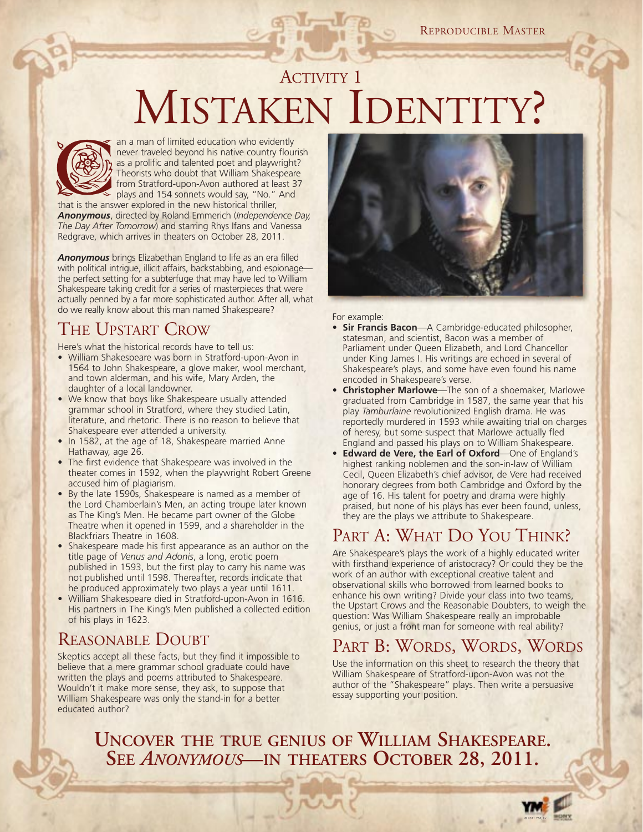## ACTIVITY 1 MISTAKEN IDENTITY?



an a man of limited education who evidently never traveled beyond his native country flourish as a prolific and talented poet and playwright? Theorists who doubt that William Shakespeare from Stratford-upon-Avon authored at least 37 plays and 154 sonnets would say, "No." And

that is the answer explored in the new historical thriller, *Anonymous*, directed by Roland Emmerich (*Independence Day, The Day After Tomorrow*) and starring Rhys Ifans and Vanessa Redgrave, which arrives in theaters on October 28, 2011.

*Anonymous* brings Elizabethan England to life as an era filled with political intrigue, illicit affairs, backstabbing, and espionage the perfect setting for a subterfuge that may have led to William Shakespeare taking credit for a series of masterpieces that were actually penned by a far more sophisticated author. After all, what do we really know about this man named Shakespeare?

#### THE UPSTART CROW

Here's what the historical records have to tell us:

- William Shakespeare was born in Stratford-upon-Avon in 1564 to John Shakespeare, a glove maker, wool merchant, and town alderman, and his wife, Mary Arden, the daughter of a local landowner.
- We know that boys like Shakespeare usually attended grammar school in Stratford, where they studied Latin, literature, and rhetoric. There is no reason to believe that Shakespeare ever attended a university.
- In 1582, at the age of 18, Shakespeare married Anne Hathaway, age 26.
- The first evidence that Shakespeare was involved in the theater comes in 1592, when the playwright Robert Greene accused him of plagiarism.
- By the late 1590s, Shakespeare is named as a member of the Lord Chamberlain's Men, an acting troupe later known as The King's Men. He became part owner of the Globe Theatre when it opened in 1599, and a shareholder in the Blackfriars Theatre in 1608.
- Shakespeare made his first appearance as an author on the title page of *Venus and Adonis*, a long, erotic poem published in 1593, but the first play to carry his name was not published until 1598. Thereafter, records indicate that he produced approximately two plays a year until 1611.
- William Shakespeare died in Stratford-upon-Avon in 1616. His partners in The King's Men published a collected edition of his plays in 1623.

#### REASONABLE DOUBT

Skeptics accept all these facts, but they find it impossible to believe that a mere grammar school graduate could have written the plays and poems attributed to Shakespeare. Wouldn't it make more sense, they ask, to suppose that William Shakespeare was only the stand-in for a better educated author?



For example:

- **Sir Francis Bacon**—A Cambridge-educated philosopher, statesman, and scientist, Bacon was a member of Parliament under Queen Elizabeth, and Lord Chancellor under King James I. His writings are echoed in several of Shakespeare's plays, and some have even found his name encoded in Shakespeare's verse.
- **Christopher Marlowe**—The son of a shoemaker, Marlowe graduated from Cambridge in 1587, the same year that his play *Tamburlaine* revolutionized English drama. He was reportedly murdered in 1593 while awaiting trial on charges of heresy, but some suspect that Marlowe actually fled England and passed his plays on to William Shakespeare.
- **Edward de Vere, the Earl of Oxford**—One of England's highest ranking noblemen and the son-in-law of William Cecil, Queen Elizabeth's chief advisor, de Vere had received honorary degrees from both Cambridge and Oxford by the age of 16. His talent for poetry and drama were highly praised, but none of his plays has ever been found, unless, they are the plays we attribute to Shakespeare.

#### PART A: WHAT DO YOU THINK?

Are Shakespeare's plays the work of a highly educated writer with firsthand experience of aristocracy? Or could they be the work of an author with exceptional creative talent and observational skills who borrowed from learned books to enhance his own writing? Divide your class into two teams, the Upstart Crows and the Reasonable Doubters, to weigh the question: Was William Shakespeare really an improbable genius, or just a front man for someone with real ability?

#### PART B: WORDS, WORDS, WORDS

Use the information on this sheet to research the theory that William Shakespeare of Stratford-upon-Avon was not the author of the "Shakespeare" plays. Then write a persuasive essay supporting your position.

**UNCOVER THE TRUE GENIUS OF WILLIAM SHAKESPEARE. SEE** *ANONYMOUS***—IN THEATERS OCTOBER 28, 2011.**

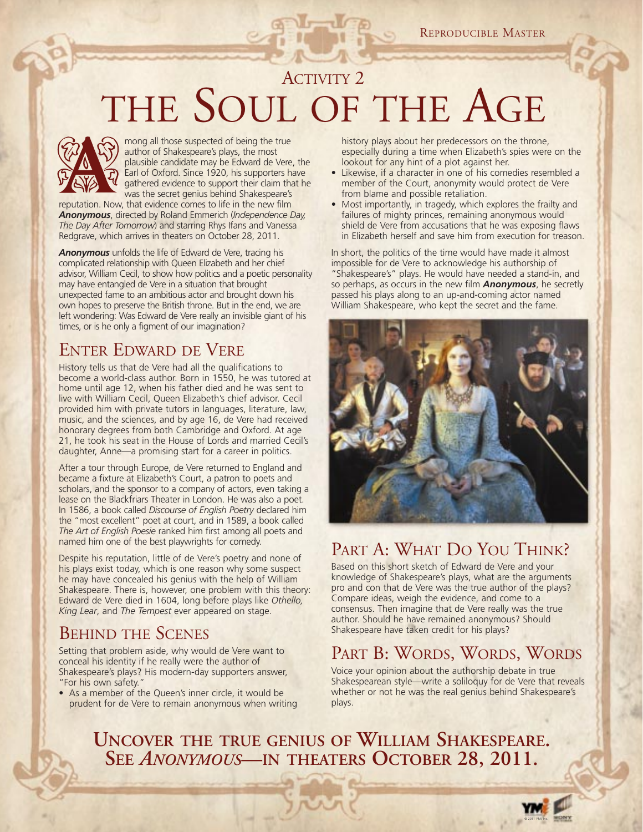### ACTIVITY 2 THE SOUL OF THE AGE



mong all those suspected of being the true author of Shakespeare's plays, the most plausible candidate may be Edward de Vere, the Earl of Oxford. Since 1920, his supporters have gathered evidence to support their claim that he was the secret genius behind Shakespeare's

reputation. Now, that evidence comes to life in the new film *Anonymous*, directed by Roland Emmerich (*Independence Day, The Day After Tomorrow*) and starring Rhys Ifans and Vanessa Redgrave, which arrives in theaters on October 28, 2011.

*Anonymous* unfolds the life of Edward de Vere, tracing his complicated relationship with Queen Elizabeth and her chief advisor, William Cecil, to show how politics and a poetic personality may have entangled de Vere in a situation that brought unexpected fame to an ambitious actor and brought down his own hopes to preserve the British throne. But in the end, we are left wondering: Was Edward de Vere really an invisible giant of his times, or is he only a figment of our imagination?

#### ENTER EDWARD DE VERE

History tells us that de Vere had all the qualifications to become a world-class author. Born in 1550, he was tutored at home until age 12, when his father died and he was sent to live with William Cecil, Queen Elizabeth's chief advisor. Cecil provided him with private tutors in languages, literature, law, music, and the sciences, and by age 16, de Vere had received honorary degrees from both Cambridge and Oxford. At age 21, he took his seat in the House of Lords and married Cecil's daughter, Anne—a promising start for a career in politics.

After a tour through Europe, de Vere returned to England and became a fixture at Elizabeth's Court, a patron to poets and scholars, and the sponsor to a company of actors, even taking a lease on the Blackfriars Theater in London. He was also a poet. In 1586, a book called *Discourse of English Poetry* declared him the "most excellent" poet at court, and in 1589, a book called *The Art of English Poesie* ranked him first among all poets and named him one of the best playwrights for comedy.

Despite his reputation, little of de Vere's poetry and none of his plays exist today, which is one reason why some suspect he may have concealed his genius with the help of William Shakespeare. There is, however, one problem with this theory: Edward de Vere died in 1604, long before plays like *Othello, King Lear*, and *The Tempest* ever appeared on stage.

#### BEHIND THE SCENES

Setting that problem aside, why would de Vere want to conceal his identity if he really were the author of Shakespeare's plays? His modern-day supporters answer, "For his own safety."

• As a member of the Queen's inner circle, it would be prudent for de Vere to remain anonymous when writing history plays about her predecessors on the throne, especially during a time when Elizabeth's spies were on the lookout for any hint of a plot against her.

- Likewise, if a character in one of his comedies resembled a member of the Court, anonymity would protect de Vere from blame and possible retaliation.
- Most importantly, in tragedy, which explores the frailty and failures of mighty princes, remaining anonymous would shield de Vere from accusations that he was exposing flaws in Elizabeth herself and save him from execution for treason.

In short, the politics of the time would have made it almost impossible for de Vere to acknowledge his authorship of "Shakespeare's" plays. He would have needed a stand-in, and so perhaps, as occurs in the new film *Anonymous*, he secretly passed his plays along to an up-and-coming actor named William Shakespeare, who kept the secret and the fame.



#### PART A: WHAT DO YOU THINK?

Based on this short sketch of Edward de Vere and your knowledge of Shakespeare's plays, what are the arguments pro and con that de Vere was the true author of the plays? Compare ideas, weigh the evidence, and come to a consensus. Then imagine that de Vere really was the true author. Should he have remained anonymous? Should Shakespeare have taken credit for his plays?

#### PART B: WORDS, WORDS, WORDS

Voice your opinion about the authorship debate in true Shakespearean style—write a soliloquy for de Vere that reveals whether or not he was the real genius behind Shakespeare's plays.

## **UNCOVER THE TRUE GENIUS OF WILLIAM SHAKESPEARE. SEE** *ANONYMOUS***—IN THEATERS OCTOBER 28, 2011.**

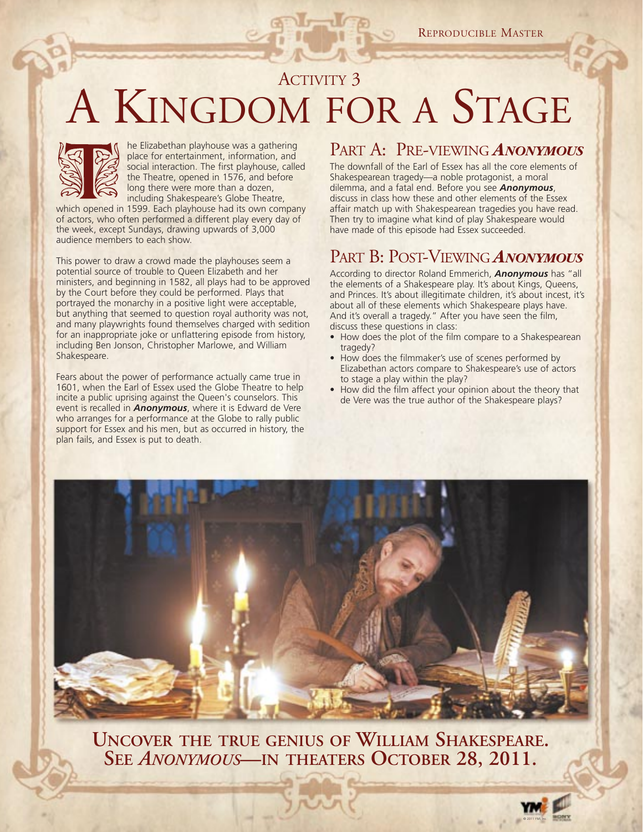## ACTIVITY 3 A KINGDOM FOR A STAGE



he Elizabethan playhouse was a gathering place for entertainment, information, and social interaction. The first playhouse, called the Theatre, opened in 1576, and before long there were more than a dozen, including Shakespeare's Globe Theatre, which opened in 1599. Each playhouse had its own company

of actors, who often performed a different play every day of the week, except Sundays, drawing upwards of 3,000 audience members to each show.

This power to draw a crowd made the playhouses seem a potential source of trouble to Queen Elizabeth and her ministers, and beginning in 1582, all plays had to be approved by the Court before they could be performed. Plays that portrayed the monarchy in a positive light were acceptable, but anything that seemed to question royal authority was not, and many playwrights found themselves charged with sedition for an inappropriate joke or unflattering episode from history, including Ben Jonson, Christopher Marlowe, and William Shakespeare.

Fears about the power of performance actually came true in 1601, when the Earl of Essex used the Globe Theatre to help incite a public uprising against the Queen's counselors. This event is recalled in *Anonymous*, where it is Edward de Vere who arranges for a performance at the Globe to rally public support for Essex and his men, but as occurred in history, the plan fails, and Essex is put to death.

#### PART A: PRE-VIEWING *ANONYMOUS*

The downfall of the Earl of Essex has all the core elements of Shakespearean tragedy—a noble protagonist, a moral dilemma, and a fatal end. Before you see *Anonymous*, discuss in class how these and other elements of the Essex affair match up with Shakespearean tragedies you have read. Then try to imagine what kind of play Shakespeare would have made of this episode had Essex succeeded.

#### PART B: POST-VIEWING *ANONYMOUS*

According to director Roland Emmerich, *Anonymous* has "all the elements of a Shakespeare play. It's about Kings, Queens, and Princes. It's about illegitimate children, it's about incest, it's about all of these elements which Shakespeare plays have. And it's overall a tragedy." After you have seen the film, discuss these questions in class:

- How does the plot of the film compare to a Shakespearean tragedy?
- How does the filmmaker's use of scenes performed by Elizabethan actors compare to Shakespeare's use of actors to stage a play within the play?
- How did the film affect your opinion about the theory that de Vere was the true author of the Shakespeare plays?



**UNCOVER THE TRUE GENIUS OF WILLIAM SHAKESPEARE. SEE** *ANONYMOUS***—IN THEATERS OCTOBER 28, 2011.**

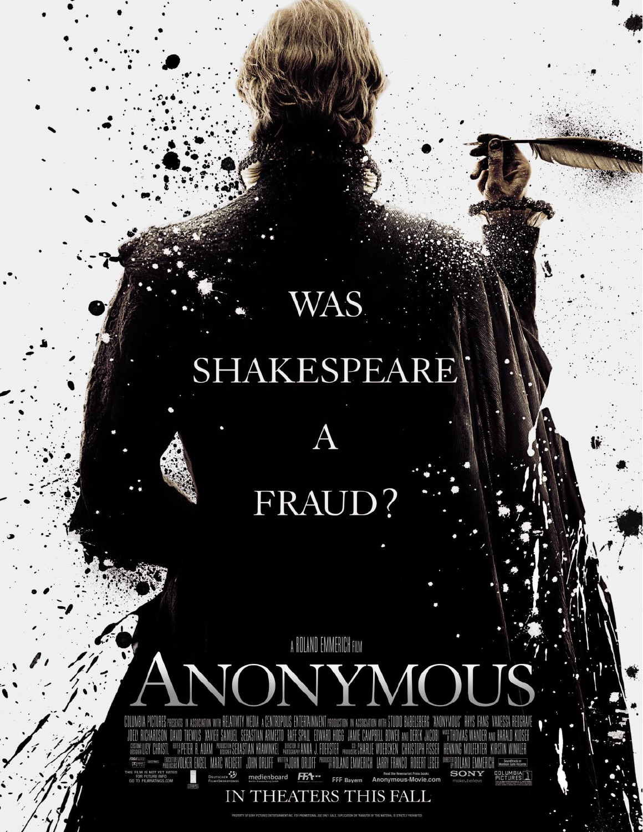# SHAKESPEARE

WAS.

# FRAUD?

# A ROLAND EMMERICH FILM **ANONYMOUS**

**AS** DEUTSCHER Read the Newmarket Press books<br>FFF Bayern Anonymous-Movie.com THIS FILM IS NOT YET RATED. **SONY COLUMBIA**<br>PICTURES ÆА medienboard FOR FUTURE INFO.<br>GO TO FILMRATINGS.COM 2, 20

IN THEATERS THIS FALL

OF SONY PICTURES ENTERTANMENT INC. FOR PROMOTIONAL USE ONLY. SALE, DUPLICATION OR TRANSFER OF THIS MATERIAL IS STRICTLY PROVIDITED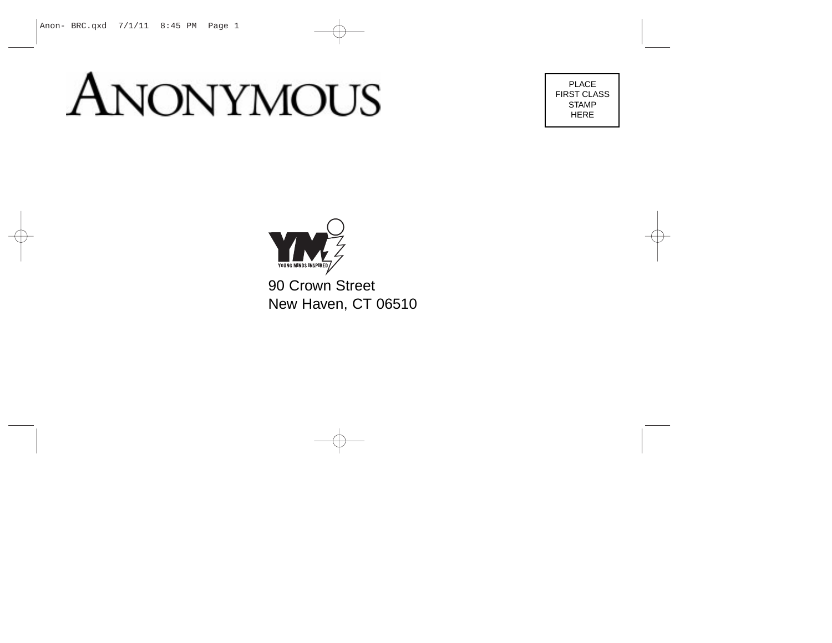## **ANONYMOUS**

PLACE FIRST CLASS STAMP HERE



90 Crown Street New Haven, CT 06510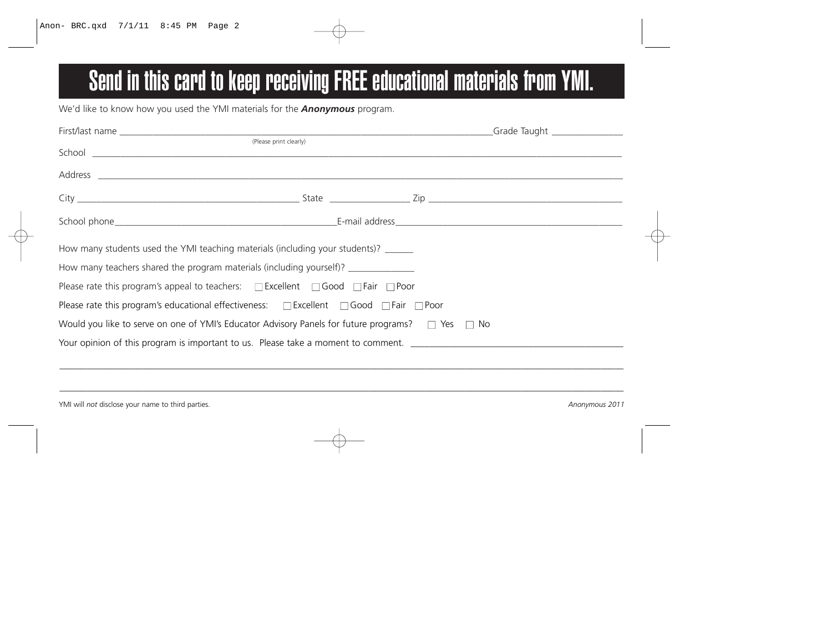### Send in this card to keep receiving FREE educational materials from YMI.

We'd like to know how you used the YMI materials for the *Anonymous* program.

|                                                                                                                        |                        | Grade Taught _______________                                                                                                                                                                                                   |  |
|------------------------------------------------------------------------------------------------------------------------|------------------------|--------------------------------------------------------------------------------------------------------------------------------------------------------------------------------------------------------------------------------|--|
|                                                                                                                        | (Please print clearly) |                                                                                                                                                                                                                                |  |
|                                                                                                                        |                        |                                                                                                                                                                                                                                |  |
|                                                                                                                        |                        | Address and the contract of the contract of the contract of the contract of the contract of the contract of the contract of the contract of the contract of the contract of the contract of the contract of the contract of th |  |
|                                                                                                                        |                        |                                                                                                                                                                                                                                |  |
|                                                                                                                        |                        |                                                                                                                                                                                                                                |  |
| How many students used the YMI teaching materials (including your students)? ______                                    |                        |                                                                                                                                                                                                                                |  |
| How many teachers shared the program materials (including yourself)?                                                   |                        |                                                                                                                                                                                                                                |  |
| Please rate this program's appeal to teachers: $\square$ Excellent $\square$ Good $\square$ Fair $\square$ Poor        |                        |                                                                                                                                                                                                                                |  |
| Please rate this program's educational effectiveness: $\square$ Excellent $\square$ Good $\square$ Fair $\square$ Poor |                        |                                                                                                                                                                                                                                |  |
| Would you like to serve on one of YMI's Educator Advisory Panels for future programs? $\square$ Yes $\square$ No       |                        |                                                                                                                                                                                                                                |  |
| Your opinion of this program is important to us. Please take a moment to comment.                                      |                        |                                                                                                                                                                                                                                |  |
|                                                                                                                        |                        |                                                                                                                                                                                                                                |  |

YMI will *not* disclose your name to third parties. *Anonymous 2011*